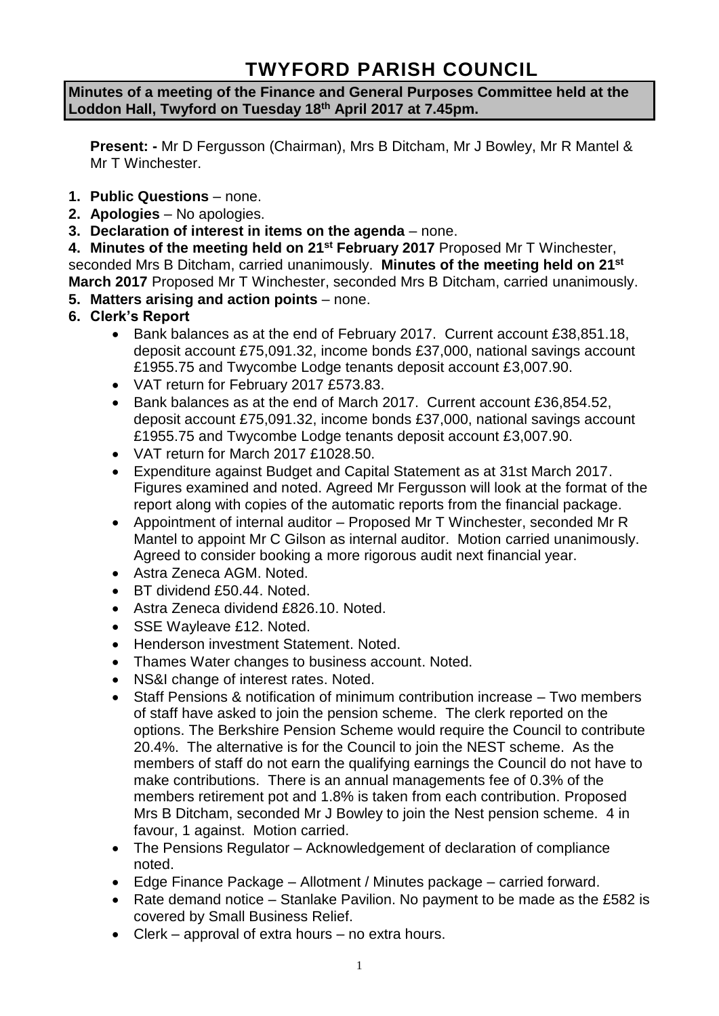# **TWYFORD PARISH COUNCIL**

#### **Minutes of a meeting of the Finance and General Purposes Committee held at the Loddon Hall, Twyford on Tuesday 18th April 2017 at 7.45pm.**

**Present: -** Mr D Fergusson (Chairman), Mrs B Ditcham, Mr J Bowley, Mr R Mantel & Mr T Winchester.

- **1. Public Questions** none.
- **2. Apologies** No apologies.
- **3. Declaration of interest in items on the agenda**  none.

**4. Minutes of the meeting held on 21st February 2017** Proposed Mr T Winchester, seconded Mrs B Ditcham, carried unanimously. **Minutes of the meeting held on 21st March 2017** Proposed Mr T Winchester, seconded Mrs B Ditcham, carried unanimously.

- **5. Matters arising and action points** none.
- **6. Clerk's Report**
	- Bank balances as at the end of February 2017. Current account £38,851.18, deposit account £75,091.32, income bonds £37,000, national savings account £1955.75 and Twycombe Lodge tenants deposit account £3,007.90.
	- VAT return for February 2017 £573.83.
	- Bank balances as at the end of March 2017. Current account £36,854.52, deposit account £75,091.32, income bonds £37,000, national savings account £1955.75 and Twycombe Lodge tenants deposit account £3,007.90.
	- VAT return for March 2017 £1028.50.
	- Expenditure against Budget and Capital Statement as at 31st March 2017. Figures examined and noted. Agreed Mr Fergusson will look at the format of the report along with copies of the automatic reports from the financial package.
	- Appointment of internal auditor Proposed Mr T Winchester, seconded Mr R Mantel to appoint Mr C Gilson as internal auditor. Motion carried unanimously. Agreed to consider booking a more rigorous audit next financial year.
	- Astra Zeneca AGM. Noted.
	- BT dividend £50.44. Noted.
	- Astra Zeneca dividend £826.10. Noted.
	- SSE Wayleave £12. Noted.
	- Henderson investment Statement. Noted.
	- Thames Water changes to business account. Noted.
	- NS&I change of interest rates. Noted.
	- Staff Pensions & notification of minimum contribution increase Two members of staff have asked to join the pension scheme. The clerk reported on the options. The Berkshire Pension Scheme would require the Council to contribute 20.4%. The alternative is for the Council to join the NEST scheme. As the members of staff do not earn the qualifying earnings the Council do not have to make contributions. There is an annual managements fee of 0.3% of the members retirement pot and 1.8% is taken from each contribution. Proposed Mrs B Ditcham, seconded Mr J Bowley to join the Nest pension scheme. 4 in favour, 1 against. Motion carried.
	- The Pensions Regulator Acknowledgement of declaration of compliance noted.
	- Edge Finance Package Allotment / Minutes package carried forward.
	- Rate demand notice Stanlake Pavilion. No payment to be made as the £582 is covered by Small Business Relief.
	- Clerk approval of extra hours no extra hours.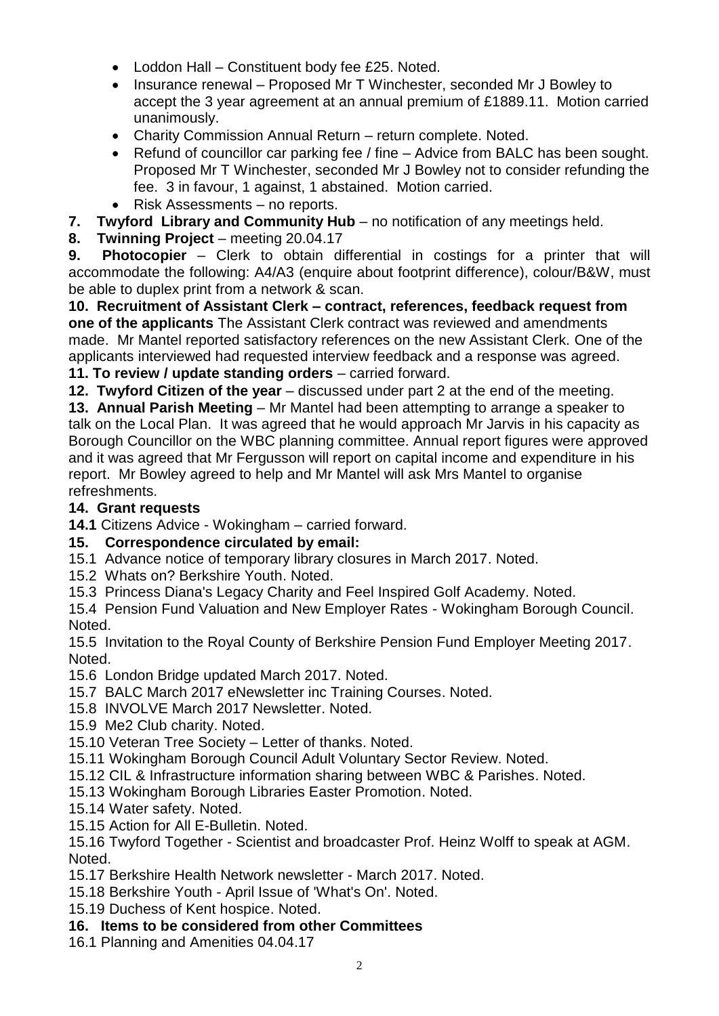- Loddon Hall Constituent body fee £25. Noted.
- Insurance renewal Proposed Mr T Winchester, seconded Mr J Bowley to accept the 3 year agreement at an annual premium of £1889.11. Motion carried unanimously.
- Charity Commission Annual Return return complete. Noted.
- Refund of councillor car parking fee / fine Advice from BALC has been sought. Proposed Mr T Winchester, seconded Mr J Bowley not to consider refunding the fee. 3 in favour, 1 against, 1 abstained. Motion carried.
- Risk Assessments no reports.
- **7. Twyford Library and Community Hub** no notification of any meetings held.
- **8. Twinning Project** meeting 20.04.17

**9. Photocopier** – Clerk to obtain differential in costings for a printer that will accommodate the following: A4/A3 (enquire about footprint difference), colour/B&W, must be able to duplex print from a network & scan.

**10. Recruitment of Assistant Clerk – contract, references, feedback request from one of the applicants** The Assistant Clerk contract was reviewed and amendments made. Mr Mantel reported satisfactory references on the new Assistant Clerk. One of the applicants interviewed had requested interview feedback and a response was agreed. **11. To review / update standing orders** – carried forward.

**12. Twyford Citizen of the year** – discussed under part 2 at the end of the meeting.

**13. Annual Parish Meeting** – Mr Mantel had been attempting to arrange a speaker to talk on the Local Plan. It was agreed that he would approach Mr Jarvis in his capacity as Borough Councillor on the WBC planning committee. Annual report figures were approved and it was agreed that Mr Fergusson will report on capital income and expenditure in his report. Mr Bowley agreed to help and Mr Mantel will ask Mrs Mantel to organise refreshments.

# **14. Grant requests**

**14.1** Citizens Advice - Wokingham – carried forward.

# **15. Correspondence circulated by email:**

- 15.1 Advance notice of temporary library closures in March 2017. Noted.
- 15.2 Whats on? Berkshire Youth. Noted.

15.3 Princess Diana's Legacy Charity and Feel Inspired Golf Academy. Noted.

15.4 Pension Fund Valuation and New Employer Rates - Wokingham Borough Council. Noted.

15.5 Invitation to the Royal County of Berkshire Pension Fund Employer Meeting 2017. Noted.

- 15.6 London Bridge updated March 2017. Noted.
- 15.7 BALC March 2017 eNewsletter inc Training Courses. Noted.
- 15.8 INVOLVE March 2017 Newsletter. Noted.
- 15.9 Me2 Club charity. Noted.
- 15.10 Veteran Tree Society Letter of thanks. Noted.
- 15.11 Wokingham Borough Council Adult Voluntary Sector Review. Noted.
- 15.12 CIL & Infrastructure information sharing between WBC & Parishes. Noted.
- 15.13 Wokingham Borough Libraries Easter Promotion. Noted.
- 15.14 Water safety. Noted.
- 15.15 Action for All E-Bulletin. Noted.

15.16 Twyford Together - Scientist and broadcaster Prof. Heinz Wolff to speak at AGM. Noted.

- 15.17 Berkshire Health Network newsletter March 2017. Noted.
- 15.18 Berkshire Youth April Issue of 'What's On'. Noted.
- 15.19 Duchess of Kent hospice. Noted.

# **16. Items to be considered from other Committees**

16.1 Planning and Amenities 04.04.17